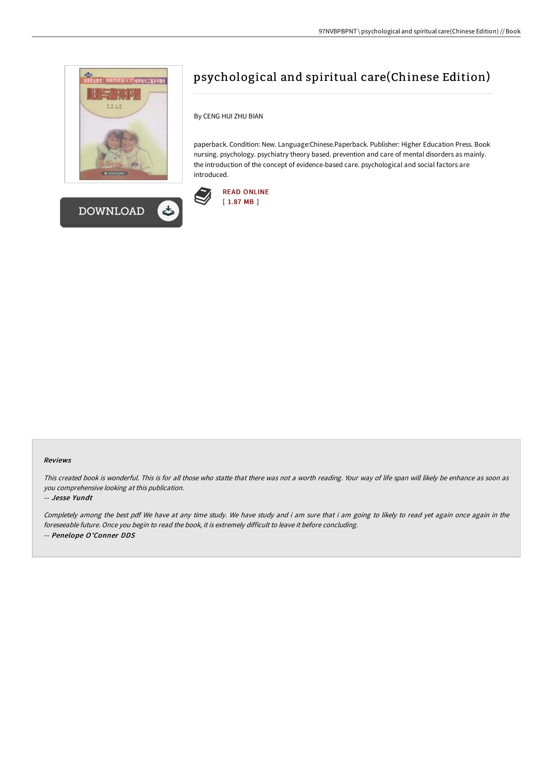



## psychological and spiritual care(Chinese Edition)

By CENG HUI ZHU BIAN

paperback. Condition: New. Language:Chinese.Paperback. Publisher: Higher Education Press. Book nursing. psychology. psychiatry theory based. prevention and care of mental disorders as mainly. the introduction of the concept of evidence-based care. psychological and social factors are introduced.



## Reviews

This created book is wonderful. This is for all those who statte that there was not <sup>a</sup> worth reading. Your way of life span will likely be enhance as soon as you comprehensive looking at this publication.

## -- Jesse Yundt

Completely among the best pdf We have at any time study. We have study and i am sure that i am going to likely to read yet again once again in the foreseeable future. Once you begin to read the book, it is extremely difficult to leave it before concluding. -- Penelope O'Conner DDS